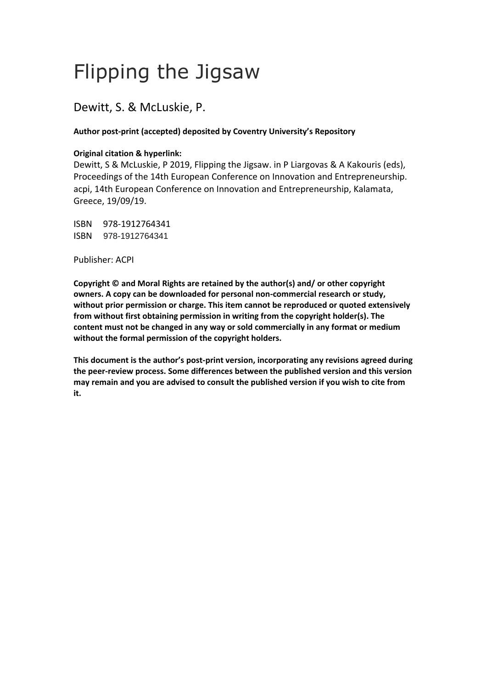# Flipping the Jigsaw

## Dewitt, S. & McLuskie, P.

## **Author post-print (accepted) deposited by Coventry University's Repository**

## **Original citation & hyperlink:**

Dewitt, S & McLuskie, P 2019, Flipping the Jigsaw. in P Liargovas & A Kakouris (eds), Proceedings of the 14th European Conference on Innovation and Entrepreneurship. acpi, 14th European Conference on Innovation and Entrepreneurship, Kalamata, Greece, 19/09/19.

ISBN 978-1912764341 ISBN 978-1912764341

Publisher: ACPI

**Copyright © and Moral Rights are retained by the author(s) and/ or other copyright owners. A copy can be downloaded for personal non-commercial research or study, without prior permission or charge. This item cannot be reproduced or quoted extensively from without first obtaining permission in writing from the copyright holder(s). The content must not be changed in any way or sold commercially in any format or medium without the formal permission of the copyright holders.** 

**This document is the author's post-print version, incorporating any revisions agreed during the peer-review process. Some differences between the published version and this version may remain and you are advised to consult the published version if you wish to cite from it.**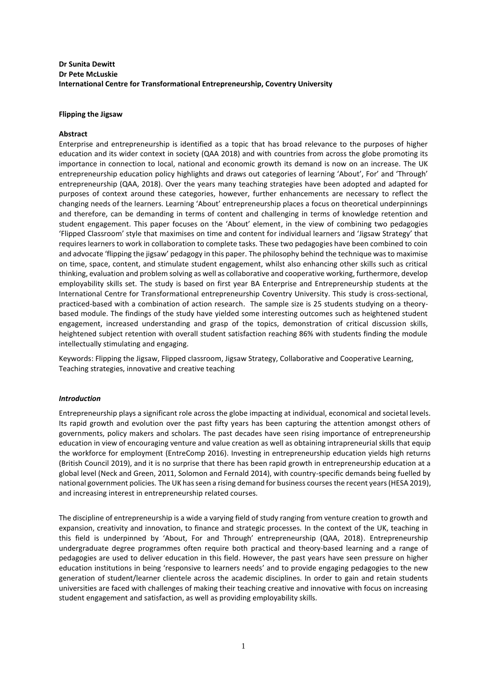#### **Dr Sunita Dewitt Dr Pete McLuskie International Centre for Transformational Entrepreneurship, Coventry University**

#### **Flipping the Jigsaw**

#### **Abstract**

Enterprise and entrepreneurship is identified as a topic that has broad relevance to the purposes of higher education and its wider context in society (QAA 2018) and with countries from across the globe promoting its importance in connection to local, national and economic growth its demand is now on an increase. The UK entrepreneurship education policy highlights and draws out categories of learning 'About', For' and 'Through' entrepreneurship (QAA, 2018). Over the years many teaching strategies have been adopted and adapted for purposes of context around these categories, however, further enhancements are necessary to reflect the changing needs of the learners. Learning 'About' entrepreneurship places a focus on theoretical underpinnings and therefore, can be demanding in terms of content and challenging in terms of knowledge retention and student engagement. This paper focuses on the 'About' element, in the view of combining two pedagogies 'Flipped Classroom' style that maximises on time and content for individual learners and 'Jigsaw Strategy' that requires learners to work in collaboration to complete tasks. These two pedagogies have been combined to coin and advocate 'flipping the jigsaw' pedagogy in this paper. The philosophy behind the technique was to maximise on time, space, content, and stimulate student engagement, whilst also enhancing other skills such as critical thinking, evaluation and problem solving as well as collaborative and cooperative working, furthermore, develop employability skills set. The study is based on first year BA Enterprise and Entrepreneurship students at the International Centre for Transformational entrepreneurship Coventry University. This study is cross-sectional, practiced-based with a combination of action research. The sample size is 25 students studying on a theorybased module. The findings of the study have yielded some interesting outcomes such as heightened student engagement, increased understanding and grasp of the topics, demonstration of critical discussion skills, heightened subject retention with overall student satisfaction reaching 86% with students finding the module intellectually stimulating and engaging.

Keywords: Flipping the Jigsaw, Flipped classroom, Jigsaw Strategy, Collaborative and Cooperative Learning, Teaching strategies, innovative and creative teaching

#### *Introduction*

Entrepreneurship plays a significant role across the globe impacting at individual, economical and societal levels. Its rapid growth and evolution over the past fifty years has been capturing the attention amongst others of governments, policy makers and scholars. The past decades have seen rising importance of entrepreneurship education in view of encouraging venture and value creation as well as obtaining intrapreneurial skills that equip the workforce for employment (EntreComp 2016). Investing in entrepreneurship education yields high returns (British Council 2019), and it is no surprise that there has been rapid growth in entrepreneurship education at a global level (Neck and Green, 2011, Solomon and Fernald 2014), with country-specific demands being fuelled by national government policies. The UK has seen a rising demand for business courses the recent years(HESA 2019), and increasing interest in entrepreneurship related courses.

The discipline of entrepreneurship is a wide a varying field of study ranging from venture creation to growth and expansion, creativity and innovation, to finance and strategic processes. In the context of the UK, teaching in this field is underpinned by 'About, For and Through' entrepreneurship (QAA, 2018). Entrepreneurship undergraduate degree programmes often require both practical and theory-based learning and a range of pedagogies are used to deliver education in this field. However, the past years have seen pressure on higher education institutions in being 'responsive to learners needs' and to provide engaging pedagogies to the new generation of student/learner clientele across the academic disciplines. In order to gain and retain students universities are faced with challenges of making their teaching creative and innovative with focus on increasing student engagement and satisfaction, as well as providing employability skills.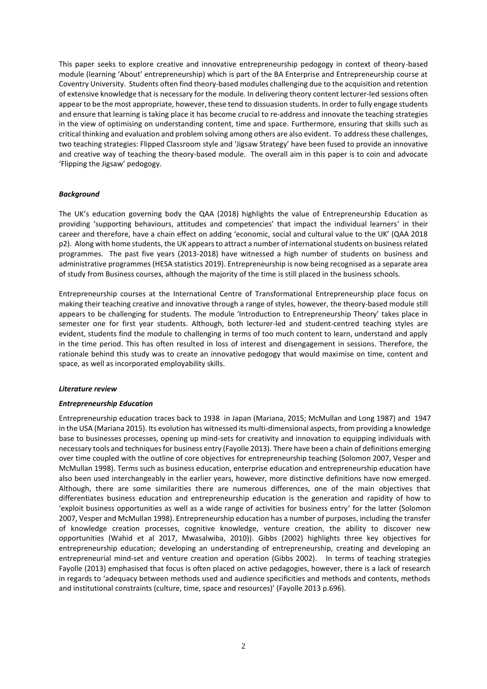This paper seeks to explore creative and innovative entrepreneurship pedogogy in context of theory-based module (learning 'About' entrepreneurship) which is part of the BA Enterprise and Entrepreneurship course at Coventry University. Students often find theory-based modules challenging due to the acquisition and retention of extensive knowledge that is necessary for the module. In delivering theory content lecturer-led sessions often appear to be the most appropriate, however, these tend to dissuasion students. In order to fully engage students and ensure that learning is taking place it has become crucial to re-address and innovate the teaching strategies in the view of optimising on understanding content, time and space. Furthermore, ensuring that skills such as critical thinking and evaluation and problem solving among others are also evident. To address these challenges, two teaching strategies: Flipped Classroom style and 'Jigsaw Strategy' have been fused to provide an innovative and creative way of teaching the theory-based module. The overall aim in this paper is to coin and advocate 'Flipping the Jigsaw' pedogogy.

#### *Background*

The UK's education governing body the QAA (2018) highlights the value of Entrepreneurship Education as providing 'supporting behaviours, attitudes and competencies' that impact the individual learners' in their career and therefore, have a chain effect on adding 'economic, social and cultural value to the UK' (QAA 2018 p2). Along with home students, the UK appears to attract a number of international students on business related programmes. The past five years (2013-2018) have witnessed a high number of students on business and administrative programmes (HESA statistics 2019). Entrepreneurship is now being recognised as a separate area of study from Business courses, although the majority of the time is still placed in the business schools.

Entrepreneurship courses at the International Centre of Transformational Entrepreneurship place focus on making their teaching creative and innovative through a range of styles, however, the theory-based module still appears to be challenging for students. The module 'Introduction to Entrepreneurship Theory' takes place in semester one for first year students. Although, both lecturer-led and student-centred teaching styles are evident, students find the module to challenging in terms of too much content to learn, understand and apply in the time period. This has often resulted in loss of interest and disengagement in sessions. Therefore, the rationale behind this study was to create an innovative pedogogy that would maximise on time, content and space, as well as incorporated employability skills.

#### *Literature review*

#### *Entrepreneurship Education*

Entrepreneurship education traces back to 1938 in Japan (Mariana, 2015; McMullan and Long 1987) and 1947 in the USA (Mariana 2015). Its evolution has witnessed its multi-dimensional aspects, from providing a knowledge base to businesses processes, opening up mind-sets for creativity and innovation to equipping individuals with necessary tools and techniques for business entry (Fayolle 2013). There have been a chain of definitions emerging over time coupled with the outline of core objectives for entrepreneurship teaching (Solomon 2007, Vesper and McMullan 1998). Terms such as business education, enterprise education and entrepreneurship education have also been used interchangeably in the earlier years, however, more distinctive definitions have now emerged. Although, there are some similarities there are numerous differences, one of the main objectives that differentiates business education and entrepreneurship education is the generation and rapidity of how to 'exploit business opportunities as well as a wide range of activities for business entry' for the latter (Solomon 2007, Vesper and McMullan 1998). Entrepreneurship education has a number of purposes, including the transfer of knowledge creation processes, cognitive knowledge, venture creation, the ability to discover new opportunities (Wahid et al 2017, Mwasalwiba, 2010)). Gibbs (2002) highlights three key objectives for entrepreneurship education; developing an understanding of entrepreneurship, creating and developing an entrepreneurial mind-set and venture creation and operation (Gibbs 2002). In terms of teaching strategies Fayolle (2013) emphasised that focus is often placed on active pedagogies, however, there is a lack of research in regards to 'adequacy between methods used and audience specificities and methods and contents, methods and institutional constraints (culture, time, space and resources)' (Fayolle 2013 p.696).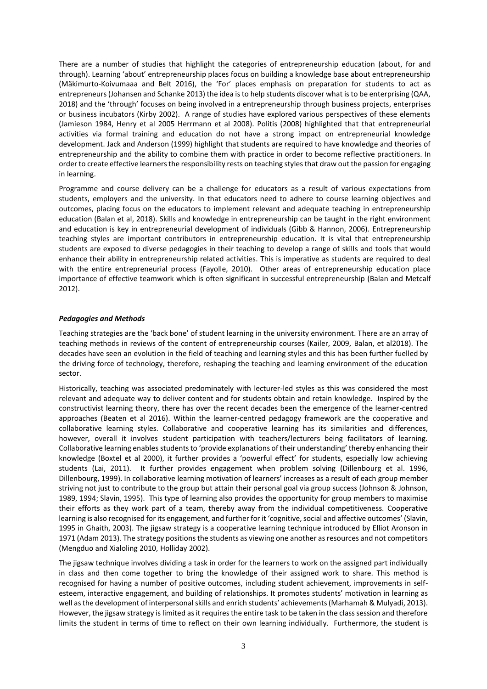There are a number of studies that highlight the categories of entrepreneurship education (about, for and through). Learning 'about' entrepreneurship places focus on building a knowledge base about entrepreneurship (Mäkimurto-Koivumaaa and Belt 2016), the 'For' places emphasis on preparation for students to act as entrepreneurs (Johansen and Schanke 2013) the idea is to help students discover what is to be enterprising (QAA, 2018) and the 'through' focuses on being involved in a entrepreneurship through business projects, enterprises or business incubators (Kirby 2002). A range of studies have explored various perspectives of these elements (Jamieson 1984, Henry et al 2005 Herrmann et al 2008). Politis (2008) highlighted that that entrepreneurial activities via formal training and education do not have a strong impact on entrepreneurial knowledge development. Jack and Anderson (1999) highlight that students are required to have knowledge and theories of entrepreneurship and the ability to combine them with practice in order to become reflective practitioners. In order to create effective learners the responsibility rests on teaching styles that draw out the passion for engaging in learning.

Programme and course delivery can be a challenge for educators as a result of various expectations from students, employers and the university. In that educators need to adhere to course learning objectives and outcomes, placing focus on the educators to implement relevant and adequate teaching in entrepreneurship education (Balan et al, 2018). Skills and knowledge in entrepreneurship can be taught in the right environment and education is key in entrepreneurial development of individuals (Gibb & Hannon, 2006). Entrepreneurship teaching styles are important contributors in entrepreneurship education. It is vital that entrepreneurship students are exposed to diverse pedagogies in their teaching to develop a range of skills and tools that would enhance their ability in entrepreneurship related activities. This is imperative as students are required to deal with the entire entrepreneurial process (Fayolle, 2010). Other areas of entrepreneurship education place importance of effective teamwork which is often significant in successful entrepreneurship (Balan and Metcalf 2012).

#### *Pedagogies and Methods*

Teaching strategies are the 'back bone' of student learning in the university environment. There are an array of teaching methods in reviews of the content of entrepreneurship courses (Kailer, 2009, Balan, et al2018). The decades have seen an evolution in the field of teaching and learning styles and this has been further fuelled by the driving force of technology, therefore, reshaping the teaching and learning environment of the education sector.

Historically, teaching was associated predominately with lecturer-led styles as this was considered the most relevant and adequate way to deliver content and for students obtain and retain knowledge. Inspired by the constructivist learning theory, there has over the recent decades been the emergence of the learner-centred approaches (Beaten et al 2016). Within the learner-centred pedagogy framework are the cooperative and collaborative learning styles. Collaborative and cooperative learning has its similarities and differences, however, overall it involves student participation with teachers/lecturers being facilitators of learning. Collaborative learning enables students to 'provide explanations of their understanding' thereby enhancing their knowledge (Boxtel et al 2000), it further provides a 'powerful effect' for students, especially low achieving students (Lai, 2011). It further provides engagement when problem solving (Dillenbourg et al. 1996, Dillenbourg, 1999). In collaborative learning motivation of learners' increases as a result of each group member striving not just to contribute to the group but attain their personal goal via group success (Johnson & Johnson, 1989, 1994; Slavin, 1995). This type of learning also provides the opportunity for group members to maximise their efforts as they work part of a team, thereby away from the individual competitiveness. Cooperative learning is also recognised for its engagement, and further for it 'cognitive, social and affective outcomes' (Slavin, 1995 in Ghaith, 2003). The jigsaw strategy is a cooperative learning technique introduced by Elliot Aronson in 1971 (Adam 2013). The strategy positionsthe students as viewing one another as resources and not competitors (Mengduo and Xialoling 2010, Holliday 2002).

The jigsaw technique involves dividing a task in order for the learners to work on the assigned part individually in class and then come together to bring the knowledge of their assigned work to share. This method is recognised for having a number of positive outcomes, including student achievement, improvements in selfesteem, interactive engagement, and building of relationships. It promotes students' motivation in learning as well as the development of interpersonal skills and enrich students' achievements (Marhamah & Mulyadi, 2013). However, the jigsaw strategy is limited as it requires the entire task to be taken in the class session and therefore limits the student in terms of time to reflect on their own learning individually. Furthermore, the student is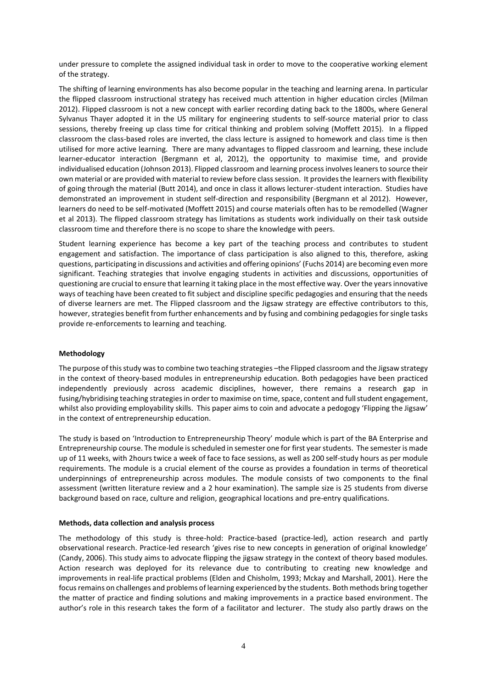under pressure to complete the assigned individual task in order to move to the cooperative working element of the strategy.

The shifting of learning environments has also become popular in the teaching and learning arena. In particular the flipped classroom instructional strategy has received much attention in higher education circles (Milman 2012). Flipped classroom is not a new concept with earlier recording dating back to the 1800s, where General Sylvanus Thayer adopted it in the US military for engineering students to self-source material prior to class sessions, thereby freeing up class time for critical thinking and problem solving (Moffett 2015). In a flipped classroom the class-based roles are inverted, the class lecture is assigned to homework and class time is then utilised for more active learning. There are many advantages to flipped classroom and learning, these include learner-educator interaction (Bergmann et al, 2012), the opportunity to maximise time, and provide individualised education (Johnson 2013). Flipped classroom and learning process involves leaners to source their own material or are provided with material to review before class session. It provides the learners with flexibility of going through the material (Butt 2014), and once in class it allows lecturer-student interaction. Studies have demonstrated an improvement in student self-direction and responsibility (Bergmann et al 2012). However, learners do need to be self-motivated (Moffett 2015) and course materials often has to be remodelled (Wagner et al 2013). The flipped classroom strategy has limitations as students work individually on their task outside classroom time and therefore there is no scope to share the knowledge with peers.

Student learning experience has become a key part of the teaching process and contributes to student engagement and satisfaction. The importance of class participation is also aligned to this, therefore, asking questions, participating in discussions and activities and offering opinions' (Fuchs 2014) are becoming even more significant. Teaching strategies that involve engaging students in activities and discussions, opportunities of questioning are crucial to ensure that learning it taking place in the most effective way. Over the years innovative ways of teaching have been created to fit subject and discipline specific pedagogies and ensuring that the needs of diverse learners are met. The Flipped classroom and the Jigsaw strategy are effective contributors to this, however, strategies benefit from further enhancements and by fusing and combining pedagogies for single tasks provide re-enforcements to learning and teaching.

#### **Methodology**

The purpose of this study was to combine two teaching strategies –the Flipped classroom and the Jigsaw strategy in the context of theory-based modules in entrepreneurship education. Both pedagogies have been practiced independently previously across academic disciplines, however, there remains a research gap in fusing/hybridising teaching strategies in order to maximise on time, space, content and full student engagement, whilst also providing employability skills. This paper aims to coin and advocate a pedogogy 'Flipping the Jigsaw' in the context of entrepreneurship education.

The study is based on 'Introduction to Entrepreneurship Theory' module which is part of the BA Enterprise and Entrepreneurship course. The module is scheduled in semester one for first year students. The semester is made up of 11 weeks, with 2hours twice a week of face to face sessions, as well as 200 self-study hours as per module requirements. The module is a crucial element of the course as provides a foundation in terms of theoretical underpinnings of entrepreneurship across modules. The module consists of two components to the final assessment (written literature review and a 2 hour examination). The sample size is 25 students from diverse background based on race, culture and religion, geographical locations and pre-entry qualifications.

#### **Methods, data collection and analysis process**

The methodology of this study is three-hold: Practice-based (practice-led), action research and partly observational research. Practice-led research 'gives rise to new concepts in generation of original knowledge' (Candy, 2006). This study aims to advocate flipping the jigsaw strategy in the context of theory based modules. Action research was deployed for its relevance due to contributing to creating new knowledge and improvements in real-life practical problems (Elden and Chisholm, 1993; Mckay and Marshall, 2001). Here the focus remains on challenges and problems of learning experienced by the students. Both methods bring together the matter of practice and finding solutions and making improvements in a practice based environment. The author's role in this research takes the form of a facilitator and lecturer. The study also partly draws on the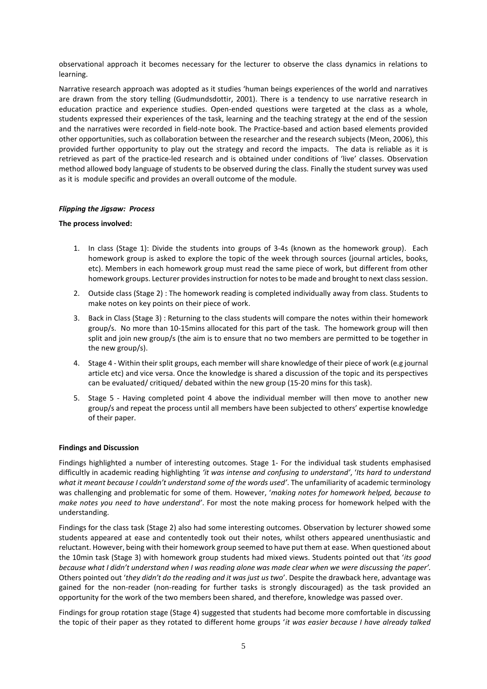observational approach it becomes necessary for the lecturer to observe the class dynamics in relations to learning.

Narrative research approach was adopted as it studies 'human beings experiences of the world and narratives are drawn from the story telling (Gudmundsdottir, 2001). There is a tendency to use narrative research in education practice and experience studies. Open-ended questions were targeted at the class as a whole, students expressed their experiences of the task, learning and the teaching strategy at the end of the session and the narratives were recorded in field-note book. The Practice-based and action based elements provided other opportunities, such as collaboration between the researcher and the research subjects (Meon, 2006), this provided further opportunity to play out the strategy and record the impacts. The data is reliable as it is retrieved as part of the practice-led research and is obtained under conditions of 'live' classes. Observation method allowed body language of students to be observed during the class. Finally the student survey was used as it is module specific and provides an overall outcome of the module.

#### *Flipping the Jigsaw: Process*

#### **The process involved:**

- 1. In class (Stage 1): Divide the students into groups of 3-4s (known as the homework group). Each homework group is asked to explore the topic of the week through sources (journal articles, books, etc). Members in each homework group must read the same piece of work, but different from other homework groups. Lecturer provides instruction for notes to be made and brought to next class session.
- 2. Outside class (Stage 2) : The homework reading is completed individually away from class. Students to make notes on key points on their piece of work.
- 3. Back in Class (Stage 3) : Returning to the class students will compare the notes within their homework group/s. No more than 10-15mins allocated for this part of the task. The homework group will then split and join new group/s (the aim is to ensure that no two members are permitted to be together in the new group/s).
- 4. Stage 4 Within their split groups, each member will share knowledge of their piece of work (e.g journal article etc) and vice versa. Once the knowledge is shared a discussion of the topic and its perspectives can be evaluated/ critiqued/ debated within the new group (15-20 mins for this task).
- 5. Stage 5 Having completed point 4 above the individual member will then move to another new group/s and repeat the process until all members have been subjected to others' expertise knowledge of their paper.

#### **Findings and Discussion**

Findings highlighted a number of interesting outcomes. Stage 1- For the individual task students emphasised difficultly in academic reading highlighting *'it was intense and confusing to understand'*, '*Its hard to understand what it meant because I couldn't understand some of the words used'*. The unfamiliarity of academic terminology was challenging and problematic for some of them. However, '*making notes for homework helped, because to make notes you need to have understand'*. For most the note making process for homework helped with the understanding.

Findings for the class task (Stage 2) also had some interesting outcomes. Observation by lecturer showed some students appeared at ease and contentedly took out their notes, whilst others appeared unenthusiastic and reluctant. However, being with their homework group seemed to have put them at ease. When questioned about the 10min task (Stage 3) with homework group students had mixed views. Students pointed out that '*its good because what I didn't understand when I was reading alone was made clear when we were discussing the paper'.*  Others pointed out '*they didn't do the reading and it was just us two*'. Despite the drawback here, advantage was gained for the non-reader (non-reading for further tasks is strongly discouraged) as the task provided an opportunity for the work of the two members been shared, and therefore, knowledge was passed over.

Findings for group rotation stage (Stage 4) suggested that students had become more comfortable in discussing the topic of their paper as they rotated to different home groups '*it was easier because I have already talked*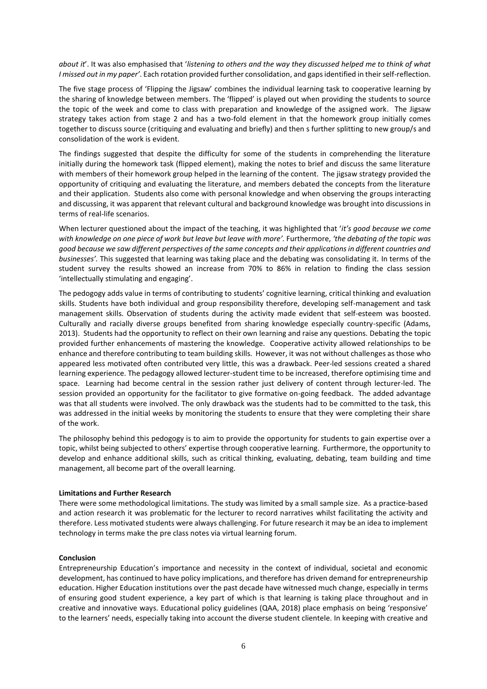*about it*'. It was also emphasised that '*listening to others and the way they discussed helped me to think of what I missed out in my paper'*. Each rotation provided further consolidation, and gaps identified in their self-reflection.

The five stage process of 'Flipping the Jigsaw' combines the individual learning task to cooperative learning by the sharing of knowledge between members. The 'flipped' is played out when providing the students to source the topic of the week and come to class with preparation and knowledge of the assigned work. The Jigsaw strategy takes action from stage 2 and has a two-fold element in that the homework group initially comes together to discuss source (critiquing and evaluating and briefly) and then s further splitting to new group/s and consolidation of the work is evident.

The findings suggested that despite the difficulty for some of the students in comprehending the literature initially during the homework task (flipped element), making the notes to brief and discuss the same literature with members of their homework group helped in the learning of the content. The jigsaw strategy provided the opportunity of critiquing and evaluating the literature, and members debated the concepts from the literature and their application. Students also come with personal knowledge and when observing the groups interacting and discussing, it was apparent that relevant cultural and background knowledge was brought into discussions in terms of real-life scenarios.

When lecturer questioned about the impact of the teaching, it was highlighted that '*it's good because we come with knowledge on one piece of work but leave but leave with more'.* Furthermore, *'the debating of the topic was good because we saw different perspectives of the same concepts and their applications in different countries and businesses'.* This suggested that learning was taking place and the debating was consolidating it. In terms of the student survey the results showed an increase from 70% to 86% in relation to finding the class session 'intellectually stimulating and engaging'.

The pedogogy adds value in terms of contributing to students' cognitive learning, critical thinking and evaluation skills. Students have both individual and group responsibility therefore, developing self-management and task management skills. Observation of students during the activity made evident that self-esteem was boosted. Culturally and racially diverse groups benefited from sharing knowledge especially country-specific (Adams, 2013). Students had the opportunity to reflect on their own learning and raise any questions. Debating the topic provided further enhancements of mastering the knowledge. Cooperative activity allowed relationships to be enhance and therefore contributing to team building skills. However, it was not without challenges as those who appeared less motivated often contributed very little, this was a drawback. Peer-led sessions created a shared learning experience. The pedagogy allowed lecturer-student time to be increased, therefore optimising time and space. Learning had become central in the session rather just delivery of content through lecturer-led. The session provided an opportunity for the facilitator to give formative on-going feedback. The added advantage was that all students were involved. The only drawback was the students had to be committed to the task, this was addressed in the initial weeks by monitoring the students to ensure that they were completing their share of the work.

The philosophy behind this pedogogy is to aim to provide the opportunity for students to gain expertise over a topic, whilst being subjected to others' expertise through cooperative learning. Furthermore, the opportunity to develop and enhance additional skills, such as critical thinking, evaluating, debating, team building and time management, all become part of the overall learning.

#### **Limitations and Further Research**

There were some methodological limitations. The study was limited by a small sample size. As a practice-based and action research it was problematic for the lecturer to record narratives whilst facilitating the activity and therefore. Less motivated students were always challenging. For future research it may be an idea to implement technology in terms make the pre class notes via virtual learning forum.

#### **Conclusion**

Entrepreneurship Education's importance and necessity in the context of individual, societal and economic development, has continued to have policy implications, and therefore has driven demand for entrepreneurship education. Higher Education institutions over the past decade have witnessed much change, especially in terms of ensuring good student experience, a key part of which is that learning is taking place throughout and in creative and innovative ways. Educational policy guidelines (QAA, 2018) place emphasis on being 'responsive' to the learners' needs, especially taking into account the diverse student clientele. In keeping with creative and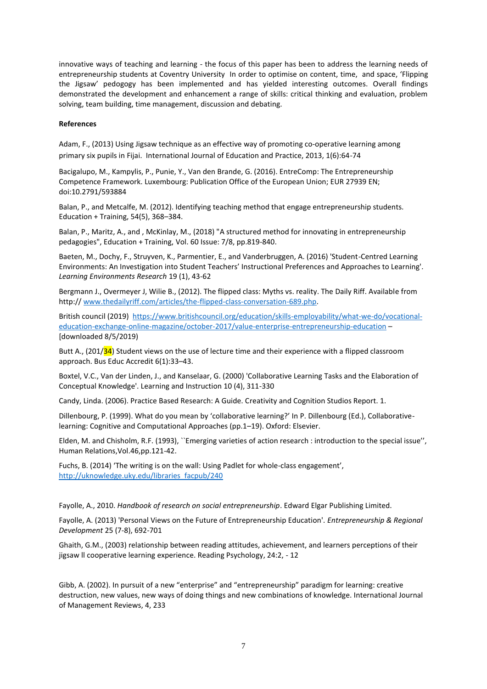innovative ways of teaching and learning - the focus of this paper has been to address the learning needs of entrepreneurship students at Coventry University In order to optimise on content, time, and space, 'Flipping the Jigsaw' pedogogy has been implemented and has yielded interesting outcomes. Overall findings demonstrated the development and enhancement a range of skills: critical thinking and evaluation, problem solving, team building, time management, discussion and debating.

#### **References**

Adam, F., (2013) Using Jigsaw technique as an effective way of promoting co-operative learning among primary six pupils in Fijai. International Journal of Education and Practice, 2013, 1(6):64-74

Bacigalupo, M., Kampylis, P., Punie, Y., Van den Brande, G. (2016). EntreComp: The Entrepreneurship Competence Framework. Luxembourg: Publication Office of the European Union; EUR 27939 EN; doi:10.2791/593884

Balan, P., and Metcalfe, M. (2012). Identifying teaching method that engage entrepreneurship students. Education + Training, 54(5), 368–384.

Balan, P., Maritz, A., and , McKinlay, M., (2018) "A structured method for innovating in entrepreneurship pedagogies", Education + Training, Vol. 60 Issue: 7/8, pp.819-840.

Baeten, M., Dochy, F., Struyven, K., Parmentier, E., and Vanderbruggen, A. (2016) 'Student-Centred Learning Environments: An Investigation into Student Teachers' Instructional Preferences and Approaches to Learning'*. Learning Environments Research* 19 (1), 43-62

Bergmann J., Overmeyer J, Wilie B., (2012). The flipped class: Myths vs. reality. The Daily Riff. Available from http:// [www.thedailyriff.com/articles/the-flipped-class-conversation-689.php.](http://www.thedailyriff.com/articles/the-flipped-class-conversation-689.php)

British council (2019) [https://www.britishcouncil.org/education/skills-employability/what-we-do/vocational](https://www.britishcouncil.org/education/skills-employability/what-we-do/vocational-education-exchange-online-magazine/october-2017/value-enterprise-entrepreneurship-education)[education-exchange-online-magazine/october-2017/value-enterprise-entrepreneurship-education](https://www.britishcouncil.org/education/skills-employability/what-we-do/vocational-education-exchange-online-magazine/october-2017/value-enterprise-entrepreneurship-education) – [downloaded 8/5/2019)

Butt A., (201/34) Student views on the use of lecture time and their experience with a flipped classroom approach. Bus Educ Accredit 6(1):33–43.

Boxtel, V.C., Van der Linden, J., and Kanselaar, G. (2000) 'Collaborative Learning Tasks and the Elaboration of Conceptual Knowledge'. Learning and Instruction 10 (4), 311-330

Candy, Linda. (2006). Practice Based Research: A Guide. Creativity and Cognition Studios Report. 1.

Dillenbourg, P. (1999). What do you mean by 'collaborative learning?' In P. Dillenbourg (Ed.), Collaborativelearning: Cognitive and Computational Approaches (pp.1–19). Oxford: Elsevier.

Elden, M. and Chisholm, R.F. (1993), ``Emerging varieties of action research : introduction to the special issue'', Human Relations,Vol.46,pp.121-42.

Fuchs, B. (2014) 'The writing is on the wall: Using Padlet for whole-class engagement', [http://uknowledge.uky.edu/libraries\\_facpub/240](http://uknowledge.uky.edu/libraries_facpub/240)

Fayolle, A., 2010. *Handbook of research on social entrepreneurship*. Edward Elgar Publishing Limited.

Fayolle, A. (2013) 'Personal Views on the Future of Entrepreneurship Education'*. Entrepreneurship & Regional Development* 25 (7-8), 692-701

Ghaith, G.M., (2003) relationship between reading attitudes, achievement, and learners perceptions of their jigsaw ll cooperative learning experience. Reading Psychology, 24:2, - 12

Gibb, A. (2002). In pursuit of a new "enterprise" and "entrepreneurship" paradigm for learning: creative destruction, new values, new ways of doing things and new combinations of knowledge. International Journal of Management Reviews, 4, 233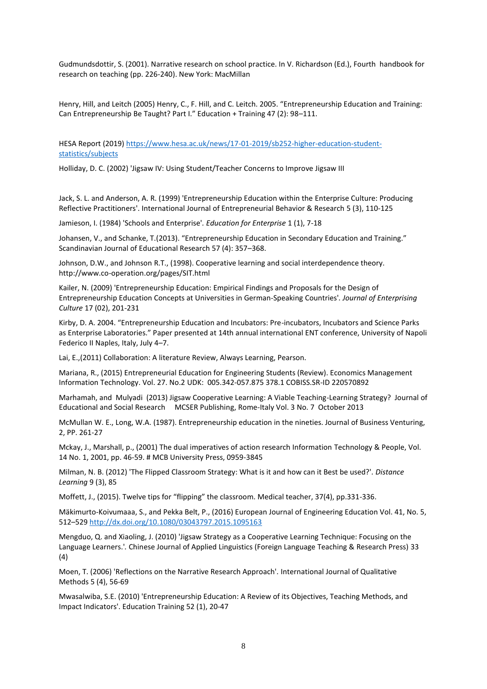Gudmundsdottir, S. (2001). Narrative research on school practice. In V. Richardson (Ed.), Fourth handbook for research on teaching (pp. 226-240). New York: MacMillan

Henry, Hill, and Leitch (2005) Henry, C., F. Hill, and C. Leitch. 2005. "Entrepreneurship Education and Training: Can Entrepreneurship Be Taught? Part I." Education + Training 47 (2): 98–111.

HESA Report (2019[\) https://www.hesa.ac.uk/news/17-01-2019/sb252-higher-education-student](https://www.hesa.ac.uk/news/17-01-2019/sb252-higher-education-student-statistics/subjects)[statistics/subjects](https://www.hesa.ac.uk/news/17-01-2019/sb252-higher-education-student-statistics/subjects)

Holliday, D. C. (2002) 'Jigsaw IV: Using Student/Teacher Concerns to Improve Jigsaw III

Jack, S. L. and Anderson, A. R. (1999) 'Entrepreneurship Education within the Enterprise Culture: Producing Reflective Practitioners'. International Journal of Entrepreneurial Behavior & Research 5 (3), 110-125

Jamieson, I. (1984) 'Schools and Enterprise'*. Education for Enterprise* 1 (1), 7-18

Johansen, V., and Schanke, T.(2013). "Entrepreneurship Education in Secondary Education and Training." Scandinavian Journal of Educational Research 57 (4): 357–368.

Johnson, D.W., and Johnson R.T., (1998). Cooperative learning and social interdependence theory. http://www.co-operation.org/pages/SIT.html

Kailer, N. (2009) 'Entrepreneurship Education: Empirical Findings and Proposals for the Design of Entrepreneurship Education Concepts at Universities in German-Speaking Countries'*. Journal of Enterprising Culture* 17 (02), 201-231

Kirby, D. A. 2004. "Entrepreneurship Education and Incubators: Pre-incubators, Incubators and Science Parks as Enterprise Laboratories." Paper presented at 14th annual international ENT conference, University of Napoli Federico II Naples, Italy, July 4–7.

Lai, E.,(2011) Collaboration: A literature Review, Always Learning, Pearson.

Mariana, R., (2015) Entrepreneurial Education for Engineering Students (Review). Economics Management Information Technology. Vol. 27. No.2 UDK: 005.342-057.875 378.1 COBISS.SR-ID 220570892

Marhamah, and Mulyadi (2013) Jigsaw Cooperative Learning: A Viable Teaching-Learning Strategy? Journal of Educational and Social Research MCSER Publishing, Rome-Italy Vol. 3 No. 7 October 2013

McMullan W. E., Long, W.A. (1987). Entrepreneurship education in the nineties. Journal of Business Venturing, 2, PP. 261-27

Mckay, J., Marshall, p., (2001) The dual imperatives of action research Information Technology & People, Vol. 14 No. 1, 2001, pp. 46-59. # MCB University Press, 0959-3845

Milman, N. B. (2012) 'The Flipped Classroom Strategy: What is it and how can it Best be used?'*. Distance Learning* 9 (3), 85

Moffett, J., (2015). Twelve tips for "flipping" the classroom. Medical teacher, 37(4), pp.331-336.

Mäkimurto-Koivumaaa, S., and Pekka Belt, P., (2016) European Journal of Engineering Education Vol. 41, No. 5, 512–52[9 http://dx.doi.org/10.1080/03043797.2015.1095163](http://dx.doi.org/10.1080/03043797.2015.1095163)

Mengduo, Q. and Xiaoling, J. (2010) 'Jigsaw Strategy as a Cooperative Learning Technique: Focusing on the Language Learners.'*.* Chinese Journal of Applied Linguistics (Foreign Language Teaching & Research Press) 33 (4)

Moen, T. (2006) 'Reflections on the Narrative Research Approach'*.* International Journal of Qualitative Methods 5 (4), 56-69

Mwasalwiba, S.E. (2010) 'Entrepreneurship Education: A Review of its Objectives, Teaching Methods, and Impact Indicators'. Education Training 52 (1), 20-47